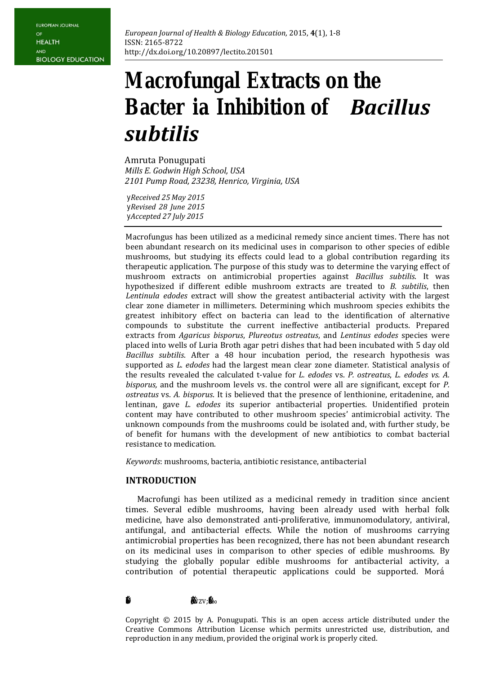# **Macrofungal Extracts on the Bacter ia Inhibition of** *Bacillus subtilis*

Amruta Ponugupati -*Mills E. Godwin High School, USA 2101 Pump Road, 23238, Henrico, Virginia, USA* 

*yReceived 25 May 2015 yRevised 28 June 2015 yAccepted 27 July 2015* 

Macrofungus has been utilized as a medicinal remedy since ancient times. There has not been abundant research on its medicinal uses in comparison to other species of edible mushrooms, but studying its effects could lead to a global contribution regarding its therapeutic application. The purpose of this study was to determine the varying effect of mushroom extracts on antimicrobial properties against *Bacillus subtilis*. It was hypothesized if different edible mushroom extracts are treated to *B. subtilis*, then *Lentinula edodes* extract will show the greatest antibacterial activity with the largest clear zone diameter in millimeters. Determining which mushroom species exhibits the greatest inhibitory effect on bacteria can lead to the identification of alternative compounds to substitute the current ineffective antibacterial products. Prepared extracts from *Agaricus bisporus*, *Plureotus ostreatus*, and *Lentinus edodes* species were placed into wells of Luria Broth agar petri dishes that had been incubated with 5 day old *Bacillus subtilis*. After a 48 hour incubation period, the research hypothesis was supported as *L. edodes* had the largest mean clear zone diameter. Statistical analysis of the results revealed the calculated t-value for *L. edodes* vs. *P. ostreatus*, *L. edodes vs. A. bisporus,* and the mushroom levels vs. the control were all are significant, except for *P. ostreatus* vs. *A. bisporus*. It is believed that the presence of lenthionine, eritadenine, and lentinan, gave *L. edodes* its superior antibacterial properties. Unidentified protein content may have contributed to other mushroom species' antimicrobial activity. The unknown compounds from the mushrooms could be isolated and, with further study, be of benefit for humans with the development of new antibiotics to combat bacterial resistance to medication.

*Keywords*: mushrooms, bacteria, antibiotic resistance, antibacterial

### **INTRODUCTION**

Macrofungi has been utilized as a medicinal remedy in tradition since ancient times. Several edible mushrooms, having been already used with herbal folk medicine, have also demonstrated anti-proliferative, immunomodulatory, antiviral, antifungal, and antibacterial effects. While the notion of mushrooms carrying antimicrobial properties has been recognized, there has not been abundant research on its medicinal uses in comparison to other species of edible mushrooms. By studying the globally popular edible mushrooms for antibacterial activity, a contribution of potential therapeutic applications could be supported. Mor‡

## $\mathbf{\ddot{F}}$ .  $\mathbf{\ddot{F}}$

-

Copyright © 2015 by A. Ponugupati. This is an open access article distributed under the Creative Commons Attribution License which permits unrestricted use, distribution, and reproduction in any medium, provided the original work is properly cited.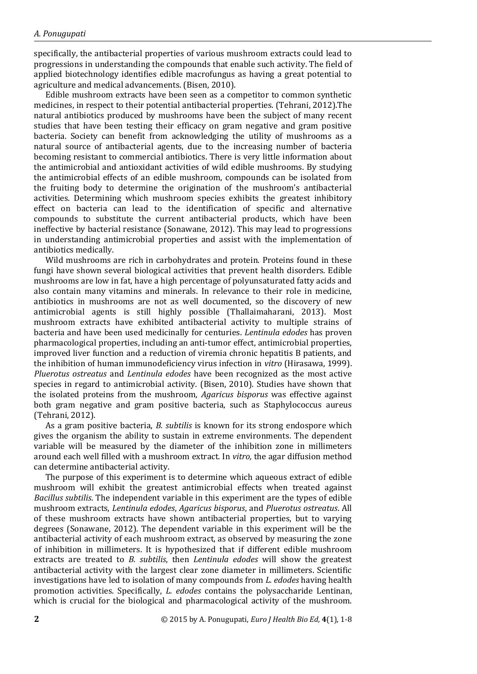specifically, the antibacterial properties of various mushroom extracts could lead to progressions in understanding the compounds that enable such activity. The field of applied biotechnology identifies edible macrofungus as having a great potential to agriculture and medical advancements. (Bisen, 2010).

Edible mushroom extracts have been seen as a competitor to common synthetic medicines, in respect to their potential antibacterial properties. (Tehrani, 2012).The natural antibiotics produced by mushrooms have been the subject of many recent studies that have been testing their efficacy on gram negative and gram positive bacteria. Society can benefit from acknowledging the utility of mushrooms as a natural source of antibacterial agents, due to the increasing number of bacteria becoming resistant to commercial antibiotics. There is very little information about the antimicrobial and antioxidant activities of wild edible mushrooms. By studying the antimicrobial effects of an edible mushroom, compounds can be isolated from the fruiting body to determine the origination of the mushroom's antibacterial activities. Determining which mushroom species exhibits the greatest inhibitory effect on bacteria can lead to the identification of specific and alternative compounds to substitute the current antibacterial products, which have been ineffective by bacterial resistance (Sonawane, 2012). This may lead to progressions in understanding antimicrobial properties and assist with the implementation of antibiotics medically.

Wild mushrooms are rich in carbohydrates and protein. Proteins found in these fungi have shown several biological activities that prevent health disorders. Edible mushrooms are low in fat, have a high percentage of polyunsaturated fatty acids and also contain many vitamins and minerals. In relevance to their role in medicine, antibiotics in mushrooms are not as well documented, so the discovery of new antimicrobial agents is still highly possible (Thallaimaharani, 2013). Most mushroom extracts have exhibited antibacterial activity to multiple strains of bacteria and have been used medicinally for centuries. *Lentinula edodes* has proven pharmacological properties, including an anti-tumor effect, antimicrobial properties, improved liver function and a reduction of viremia chronic hepatitis B patients, and the inhibition of human immunodeficiency virus infection in *vitro* (Hirasawa, 1999). *Pluerotus ostreatus* and *Lentinula edodes* have been recognized as the most active species in regard to antimicrobial activity. (Bisen, 2010). Studies have shown that the isolated proteins from the mushroom, *Agaricus bisporus* was effective against both gram negative and gram positive bacteria, such as Staphylococcus aureus (Tehrani, 2012).

As a gram positive bacteria, *B. subtilis* is known for its strong endospore which gives the organism the ability to sustain in extreme environments*.* The dependent variable will be measured by the diameter of the inhibition zone in millimeters around each well filled with a mushroom extract. In *vitro,* the agar diffusion method can determine antibacterial activity.

The purpose of this experiment is to determine which aqueous extract of edible mushroom will exhibit the greatest antimicrobial effects when treated against *Bacillus subtilis*. The independent variable in this experiment are the types of edible mushroom extracts, *Lentinula edodes*, *Agaricus bisporus*, and *Pluerotus ostreatus*. All of these mushroom extracts have shown antibacterial properties, but to varying degrees (Sonawane, 2012). The dependent variable in this experiment will be the antibacterial activity of each mushroom extract, as observed by measuring the zone of inhibition in millimeters. It is hypothesized that if different edible mushroom extracts are treated to *B. subtilis*, then *Lentinula edodes* will show the greatest antibacterial activity with the largest clear zone diameter in millimeters. Scientific investigations have led to isolation of many compounds from *L. edodes* having health promotion activities. Specifically, *L. edodes* contains the polysaccharide Lentinan, which is crucial for the biological and pharmacological activity of the mushroom.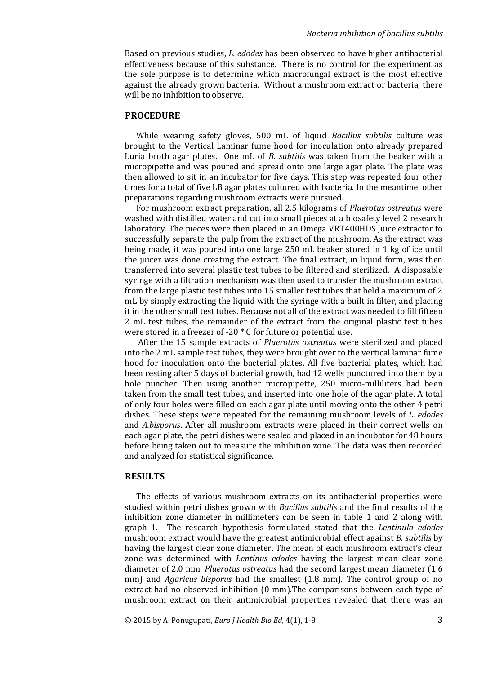Based on previous studies, *L. edodes* has been observed to have higher antibacterial effectiveness because of this substance. There is no control for the experiment as the sole purpose is to determine which macrofungal extract is the most effective against the already grown bacteria. Without a mushroom extract or bacteria, there will be no inhibition to observe.

#### **PROCEDURE**

While wearing safety gloves, 500 mL of liquid *Bacillus subtilis* culture was brought to the Vertical Laminar fume hood for inoculation onto already prepared Luria broth agar plates. One mL of *B. subtilis* was taken from the beaker with a micropipette and was poured and spread onto one large agar plate. The plate was then allowed to sit in an incubator for five days. This step was repeated four other times for a total of five LB agar plates cultured with bacteria. In the meantime, other preparations regarding mushroom extracts were pursued.

For mushroom extract preparation, all 2.5 kilograms of *Pluerotus ostreatus* were washed with distilled water and cut into small pieces at a biosafety level 2 research laboratory. The pieces were then placed in an Omega VRT400HDS Juice extractor to successfully separate the pulp from the extract of the mushroom. As the extract was being made, it was poured into one large 250 mL beaker stored in 1 kg of ice until the juicer was done creating the extract. The final extract, in liquid form, was then transferred into several plastic test tubes to be filtered and sterilized. A disposable syringe with a filtration mechanism was then used to transfer the mushroom extract from the large plastic test tubes into 15 smaller test tubes that held a maximum of 2 mL by simply extracting the liquid with the syringe with a built in filter, and placing it in the other small test tubes. Because not all of the extract was needed to fill fifteen 2 mL test tubes, the remainder of the extract from the original plastic test tubes were stored in a freezer of -20 \* C for future or potential use.

After the 15 sample extracts of *Pluerotus ostreatus* were sterilized and placed into the 2 mL sample test tubes, they were brought over to the vertical laminar fume hood for inoculation onto the bacterial plates. All five bacterial plates, which had been resting after 5 days of bacterial growth, had 12 wells punctured into them by a hole puncher. Then using another micropipette, 250 micro-milliliters had been taken from the small test tubes, and inserted into one hole of the agar plate. A total of only four holes were filled on each agar plate until moving onto the other 4 petri dishes. These steps were repeated for the remaining mushroom levels of *L. edodes* and *A.bisporus*. After all mushroom extracts were placed in their correct wells on each agar plate, the petri dishes were sealed and placed in an incubator for 48 hours before being taken out to measure the inhibition zone. The data was then recorded and analyzed for statistical significance.

#### **RESULTS**

The effects of various mushroom extracts on its antibacterial properties were studied within petri dishes grown with *Bacillus subtilis* and the final results of the inhibition zone diameter in millimeters can be seen in table 1 and 2 along with graph 1. The research hypothesis formulated stated that the *Lentinula edodes* mushroom extract would have the greatest antimicrobial effect against *B. subtilis* by having the largest clear zone diameter. The mean of each mushroom extract's clear zone was determined with *Lentinus edodes* having the largest mean clear zone diameter of 2.0 mm. *Pluerotus ostreatus* had the second largest mean diameter (1.6 mm) and *Agaricus bisporus* had the smallest (1.8 mm). The control group of no extract had no observed inhibition (0 mm).The comparisons between each type of mushroom extract on their antimicrobial properties revealed that there was an

© 2015 by A. Ponugupati, *Euro J Health Bio Ed,* **4**(1), 1-8 **3**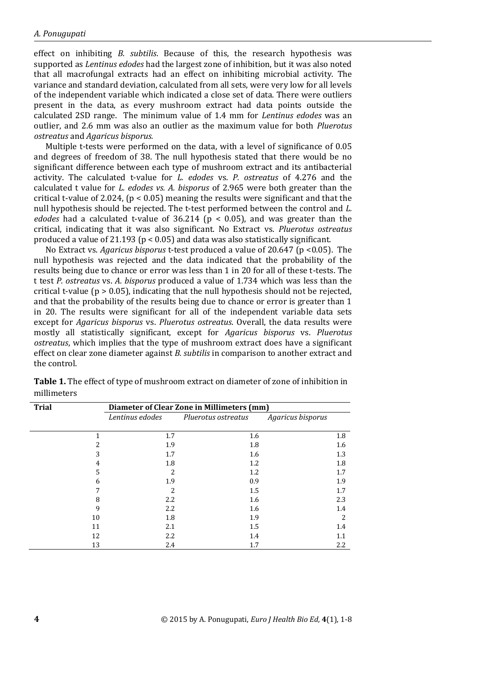effect on inhibiting *B. subtilis*. Because of this, the research hypothesis was supported as *Lentinus edodes* had the largest zone of inhibition, but it was also noted that all macrofungal extracts had an effect on inhibiting microbial activity. The variance and standard deviation, calculated from all sets, were very low for all levels of the independent variable which indicated a close set of data. There were outliers present in the data, as every mushroom extract had data points outside the calculated 2SD range. The minimum value of 1.4 mm for *Lentinus edodes* was an outlier, and 2.6 mm was also an outlier as the maximum value for both *Pluerotus ostreatus* and *Agaricus bisporus.*

Multiple t-tests were performed on the data, with a level of significance of 0.05 and degrees of freedom of 38. The null hypothesis stated that there would be no significant difference between each type of mushroom extract and its antibacterial activity. The calculated t-value for *L. edodes* vs. *P. ostreatus* of 4.276 and the calculated t value for *L. edodes vs. A. bisporus* of 2.965 were both greater than the critical t-value of 2.024, (p < 0.05) meaning the results were significant and that the null hypothesis should be rejected. The t-test performed between the control and *L. edodes* had a calculated t-value of  $36.214$  ( $p < 0.05$ ), and was greater than the critical, indicating that it was also significant. No Extract vs. *Pluerotus ostreatus*  produced a value of 21.193 ( $p < 0.05$ ) and data was also statistically significant.

No Extract vs. *Agaricus bisporus* t-test produced a value of 20.647 (p <0.05). The null hypothesis was rejected and the data indicated that the probability of the results being due to chance or error was less than 1 in 20 for all of these t-tests. The t test *P. ostreatus* vs. *A. bisporus* produced a value of 1.734 which was less than the critical t-value ( $p > 0.05$ ), indicating that the null hypothesis should not be rejected, and that the probability of the results being due to chance or error is greater than 1 in 20. The results were significant for all of the independent variable data sets except for *Agaricus bisporus* vs. *Pluerotus ostreatus*. Overall, the data results were mostly all statistically significant, except for *Agaricus bisporus* vs. *Pluerotus ostreatus*, which implies that the type of mushroom extract does have a significant effect on clear zone diameter against *B. subtilis* in comparison to another extract and the control.

| <b>Trial</b> |    | Diameter of Clear Zone in Millimeters (mm) |                     |                   |     |  |
|--------------|----|--------------------------------------------|---------------------|-------------------|-----|--|
|              |    | Lentinus edodes                            | Pluerotus ostreatus | Agaricus bisporus |     |  |
|              |    |                                            |                     |                   |     |  |
|              |    | 1.7                                        | 1.6                 |                   | 1.8 |  |
|              | 2  | 1.9                                        | 1.8                 |                   | 1.6 |  |
|              | 3  | 1.7                                        | 1.6                 |                   | 1.3 |  |
|              | 4  | 1.8                                        | 1.2                 |                   | 1.8 |  |
|              | 5  | 2                                          | 1.2                 |                   | 1.7 |  |
|              | 6  | 1.9                                        | 0.9                 |                   | 1.9 |  |
|              | 7  | $\overline{\mathcal{L}}$                   | 1.5                 |                   | 1.7 |  |
|              | 8  | 2.2                                        | 1.6                 |                   | 2.3 |  |
|              | 9  | 2.2                                        | 1.6                 |                   | 1.4 |  |
|              | 10 | 1.8                                        | 1.9                 |                   | 2   |  |
|              | 11 | 2.1                                        | 1.5                 |                   | 1.4 |  |
|              | 12 | 2.2                                        | 1.4                 |                   | 1.1 |  |
|              | 13 | 2.4                                        | 1.7                 |                   | 2.2 |  |

**Table 1.** The effect of type of mushroom extract on diameter of zone of inhibition in millimeters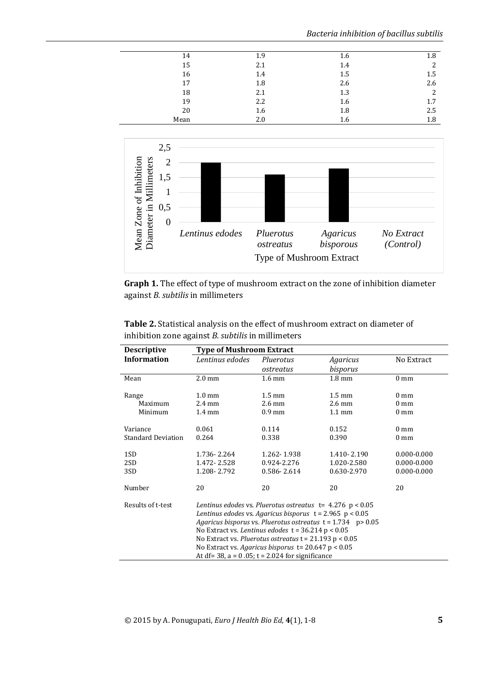*Bacteria inhibition of bacillus subtilis*

| 14   | 1.9 | 1.6 | 1.8     |
|------|-----|-----|---------|
| 15   | 2.1 | 1.4 | 2       |
| 16   | 1.4 | 1.5 | 1.5     |
| 17   | 1.8 | 2.6 | 2.6     |
| 18   | 2.1 | 1.3 | 2       |
| 19   | 2.2 | 1.6 | 1.7     |
| 20   | 1.6 | 1.8 | 2.5     |
| Mean | 2.0 | 1.6 | $1.8\,$ |



**Graph 1.** The effect of type of mushroom extract on the zone of inhibition diameter against *B. subtilis* in millimeters

| <b>Descriptive</b>        | <b>Type of Mushroom Extract</b>                                                                                                                                                                                                                                                                                                                                                                                                  |                  |                  |                 |  |
|---------------------------|----------------------------------------------------------------------------------------------------------------------------------------------------------------------------------------------------------------------------------------------------------------------------------------------------------------------------------------------------------------------------------------------------------------------------------|------------------|------------------|-----------------|--|
| <b>Information</b>        | Lentinus edodes                                                                                                                                                                                                                                                                                                                                                                                                                  | Pluerotus        | Agaricus         | No Extract      |  |
|                           |                                                                                                                                                                                                                                                                                                                                                                                                                                  | ostreatus        | bisporus         |                 |  |
| Mean                      | $2.0 \text{ mm}$                                                                                                                                                                                                                                                                                                                                                                                                                 | $1.6 \text{ mm}$ | $1.8 \text{ mm}$ | $0 \text{ mm}$  |  |
| Range                     | $1.0 \text{ mm}$                                                                                                                                                                                                                                                                                                                                                                                                                 | $1.5 \text{ mm}$ | $1.5 \text{ mm}$ | $0 \text{ mm}$  |  |
| Maximum                   | $2.4 \text{ mm}$                                                                                                                                                                                                                                                                                                                                                                                                                 | $2.6 \text{ mm}$ | $2.6 \text{ mm}$ | $0 \text{ mm}$  |  |
| Minimum                   | $1.4 \text{ mm}$                                                                                                                                                                                                                                                                                                                                                                                                                 | $0.9$ mm         | $1.1 \text{ mm}$ | $0 \text{ mm}$  |  |
| Variance                  | 0.061                                                                                                                                                                                                                                                                                                                                                                                                                            | 0.114            | 0.152            | $0 \text{ mm}$  |  |
| <b>Standard Deviation</b> | 0.264                                                                                                                                                                                                                                                                                                                                                                                                                            | 0.338            | 0.390            | $0 \text{ mm}$  |  |
| 1SD                       | 1.736-2.264                                                                                                                                                                                                                                                                                                                                                                                                                      | 1.262-1.938      | 1.410-2.190      | $0.000 - 0.000$ |  |
| 2SD                       | 1.472 - 2.528                                                                                                                                                                                                                                                                                                                                                                                                                    | 0.924-2.276      | 1.020-2.580      | $0.000 - 0.000$ |  |
| 3SD                       | 1.208-2.792                                                                                                                                                                                                                                                                                                                                                                                                                      | 0.586-2.614      | 0.630-2.970      | $0.000 - 0.000$ |  |
| Number                    | 20                                                                                                                                                                                                                                                                                                                                                                                                                               | 20               | 20               | 20              |  |
| Results of t-test         | Lentinus edodes vs. Pluerotus ostreatus $t = 4.276$ p < 0.05<br>Lentinus edodes vs. Agaricus bisporus $t = 2.965$ p < 0.05<br>Agaricus bisporus vs. Pluerotus ostreatus $t = 1.734$ p> 0.05<br>No Extract vs. Lentinus edodes $t = 36.214$ p < 0.05<br>No Extract vs. Pluerotus ostreatus $t = 21.193$ p < 0.05<br>No Extract vs. Agaricus bisporus t= $20.647$ p < $0.05$<br>At df= $38$ , a = 0.05; t = 2.024 for significance |                  |                  |                 |  |

**Table 2.** Statistical analysis on the effect of mushroom extract on diameter of inhibition zone against *B. subtilis* in millimeters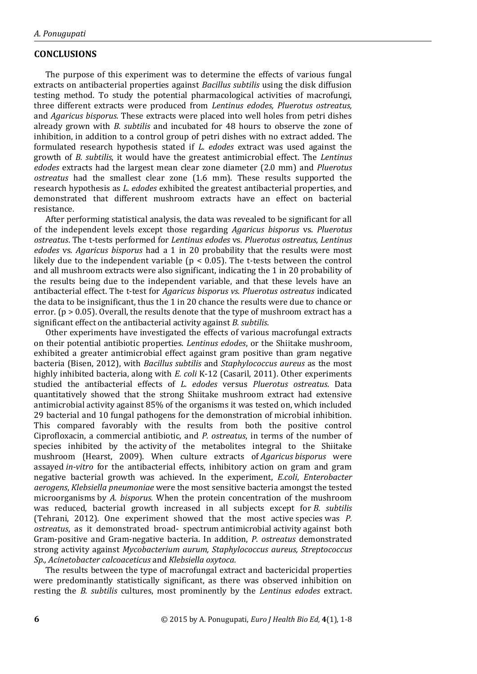#### **CONCLUSIONS**

The purpose of this experiment was to determine the effects of various fungal extracts on antibacterial properties against *Bacillus subtilis* using the disk diffusion testing method. To study the potential pharmacological activities of macrofungi, three different extracts were produced from *Lentinus edodes, Pluerotus ostreatus,*  and *Agaricus bisporus.* These extracts were placed into well holes from petri dishes already grown with *B. subtilis* and incubated for 48 hours to observe the zone of inhibition, in addition to a control group of petri dishes with no extract added. The formulated research hypothesis stated if *L. edodes* extract was used against the growth of *B. subtilis*, it would have the greatest antimicrobial effect. The *Lentinus edodes* extracts had the largest mean clear zone diameter (2.0 mm) and *Pluerotus ostreatus* had the smallest clear zone (1.6 mm). These results supported the research hypothesis as *L. edodes* exhibited the greatest antibacterial properties, and demonstrated that different mushroom extracts have an effect on bacterial resistance.

After performing statistical analysis, the data was revealed to be significant for all of the independent levels except those regarding *Agaricus bisporus* vs. *Pluerotus ostreatus*. The t-tests performed for *Lentinus edodes* vs*. Pluerotus ostreatus, Lentinus edodes* vs*. Agaricus bisporus* had a 1 in 20 probability that the results were most likely due to the independent variable ( $p < 0.05$ ). The t-tests between the control and all mushroom extracts were also significant, indicating the 1 in 20 probability of the results being due to the independent variable, and that these levels have an antibacterial effect. The t-test for *Agaricus bisporus vs. Pluerotus ostreatus* indicated the data to be insignificant, thus the 1 in 20 chance the results were due to chance or error. ( $p > 0.05$ ). Overall, the results denote that the type of mushroom extract has a significant effect on the antibacterial activity against *B. subtilis*.

Other experiments have investigated the effects of various macrofungal extracts on their potential antibiotic properties. *Lentinus edodes*, or the Shiitake mushroom, exhibited a greater antimicrobial effect against gram positive than gram negative bacteria (Bisen, 2012), with *Bacillus subtilis* and *Staphylococcus aureus* as the most highly inhibited bacteria, along with *E. coli* K-12 (Casaril, 2011). Other experiments studied the antibacterial effects of *L. edodes* versus *Pluerotus ostreatus*. Data quantitatively showed that the strong Shiitake mushroom extract had extensive antimicrobial activity against 85% of the organisms it was tested on, which included 29 bacterial and 10 fungal pathogens for the demonstration of microbial inhibition. This compared favorably with the results from both the positive control Ciprofloxacin, a commercial antibiotic, and *P. ostreatus*, in terms of the number of species inhibited by the activity of the metabolites integral to the Shiitake mushroom (Hearst, 2009). When culture extracts of *Agaricus bisporus* were assayed *in-vitro* for the antibacterial effects, inhibitory action on gram and gram negative bacterial growth was achieved. In the experiment, *E.coli*, *Enterobacter aerogens*, *Klebsiella pneumoniae* were the most sensitive bacteria amongst the tested microorganisms by *A. bisporus.* When the protein concentration of the mushroom was reduced, bacterial growth increased in all subjects except for *B. subtilis* (Tehrani, 2012). One experiment showed that the most active species was *P. ostreatus*, as it demonstrated broad- spectrum antimicrobial activity against both Gram-positive and Gram-negative bacteria. In addition, *P. ostreatus* demonstrated strong activity against *Mycobacterium aurum, Staphylococcus aureus, Streptococcus Sp., Acinetobacter calcoaceticus* and *Klebsiella oxytoca.* 

The results between the type of macrofungal extract and bactericidal properties were predominantly statistically significant, as there was observed inhibition on resting the *B. subtilis* cultures, most prominently by the *Lentinus edodes* extract.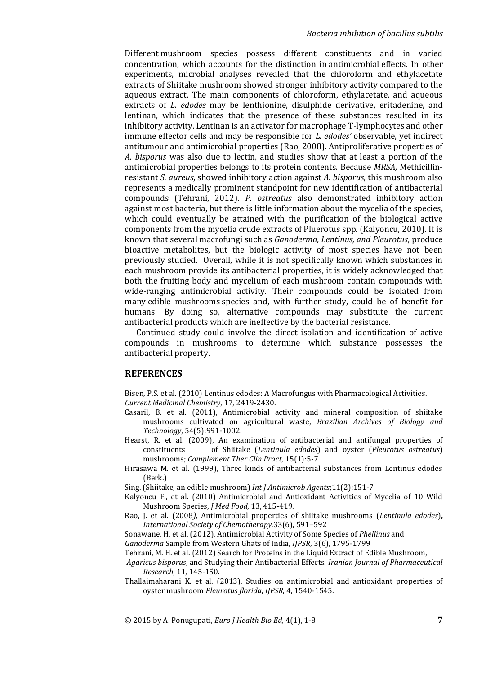Different mushroom species possess different constituents and in varied concentration, which accounts for the distinction in antimicrobial effects. In other experiments, microbial analyses revealed that the chloroform and ethylacetate extracts of Shiitake mushroom showed stronger inhibitory activity compared to the aqueous extract. The main components of chloroform, ethylacetate, and aqueous extracts of *L. edodes* may be lenthionine, disulphide derivative, eritadenine, and lentinan, which indicates that the presence of these substances resulted in its inhibitory activity. Lentinan is an activator for macrophage T-lymphocytes and other immune effector cells and may be responsible for *L. edodes'* observable, yet indirect antitumour and antimicrobial properties (Rao, 2008). Antiproliferative properties of *A. bisporus* was also due to lectin, and studies show that at least a portion of the antimicrobial properties belongs to its protein contents. Because *MRSA,* Methicillinresistant *S. aureus*, showed inhibitory action against *A. bisporus*, this mushroom also represents a medically prominent standpoint for new identification of antibacterial compounds (Tehrani, 2012). *P. ostreatus* also demonstrated inhibitory action against most bacteria, but there is little information about the mycelia of the species, which could eventually be attained with the purification of the biological active components from the mycelia crude extracts of Pluerotus spp. (Kalyoncu, 2010). It is known that several macrofungi such as *Ganoderma, Lentinus, and Pleurotus*, produce bioactive metabolites, but the biologic activity of most species have not been previously studied. Overall, while it is not specifically known which substances in each mushroom provide its antibacterial properties, it is widely acknowledged that both the fruiting body and mycelium of each mushroom contain compounds with wide-ranging antimicrobial activity. Their compounds could be isolated from many edible mushrooms species and, with further study, could be of benefit for humans. By doing so, alternative compounds may substitute the current antibacterial products which are ineffective by the bacterial resistance.

Continued study could involve the direct isolation and identification of active compounds in mushrooms to determine which substance possesses the antibacterial property.

#### **REFERENCES**

Bisen, P.S. et al. (2010) Lentinus edodes: A Macrofungus with Pharmacological Activities. *Current Medicinal Chemistry*, 17, 2419-2430.

- Casaril, B. et al. (2011), Antimicrobial activity and mineral composition of shiitake mushrooms cultivated on agricultural waste, *Brazilian Archives of Biology and Technology*, 54(5):991-1002.
- Hearst, R. et al. (2009), An examination of antibacterial and antifungal properties of constituents of Shiitake (*Lentinula edodes*) and oyster (*Pleurotus ostreatus*) mushrooms; *Complement Ther Clin Pract*, 15(1):5-7
- Hirasawa M. et al. (1999), Three kinds of antibacterial substances from Lentinus edodes (Berk.)

Sing. (Shiitake, an edible mushroom) *Int J Antimicrob Agents*;11(2):151-7

- Kalyoncu F., et al. (2010) Antimicrobial and Antioxidant Activities of Mycelia of 10 Wild Mushroom Species, *J Med Food*, 13, 415-419.
- Rao, J. et al. (2008*),* Antimicrobial properties of shiitake mushrooms (*Lentinula edodes*)**,** *International Society of Chemotherapy,*33(6), 591–592

Sonawane, H. et al. (2012). Antimicrobial Activity of Some Species of *Phellinus* and

*Ganoderma* Sample from Western Ghats of India, *IJPSR*, 3(6), 1795-1799

Tehrani, M. H. et al. (2012) Search for Proteins in the Liquid Extract of Edible Mushroom,

*Agaricus bisporus*, and Studying their Antibacterial Effects. *Iranian Journal of Pharmaceutical Research*, 11, 145-150.

Thallaimaharani K. et al. (2013). Studies on antimicrobial and antioxidant properties of oyster mushroom *Pleurotus florida*, *IJPSR*, 4, 1540-1545.

© 2015 by A. Ponugupati, *Euro J Health Bio Ed,* **4**(1), 1-8 **7**